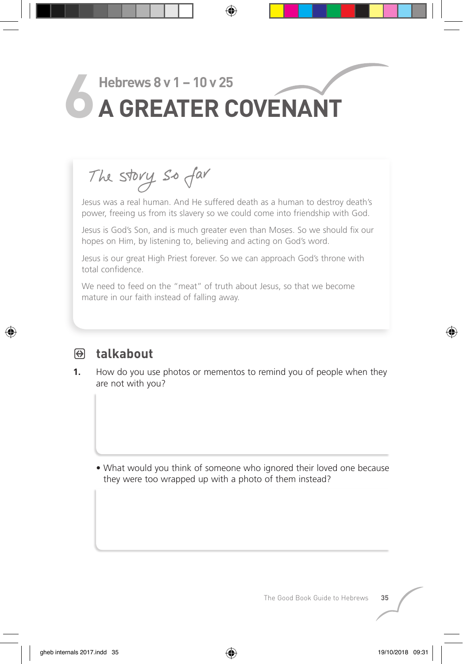# Hebrews 8 v 1 – 10 v 25<br>**A GREATER COVENANT**

The story so far

 Jesus was a real human. And He suffered death as a human to destroy death's power, freeing us from its slavery so we could come into friendship with God.

Jesus is God's Son, and is much greater even than Moses. So we should fix our hopes on Him, by listening to, believing and acting on God's word.

Jesus is our great High Priest forever. So we can approach God's throne with total confidence.

We need to feed on the "meat" of truth about Jesus, so that we become mature in our faith instead of falling away.



## PQ **talkabout**

**1.** How do you use photos or mementos to remind you of people when they are not with you?

 • What would you think of someone who ignored their loved one because they were too wrapped up with a photo of them instead?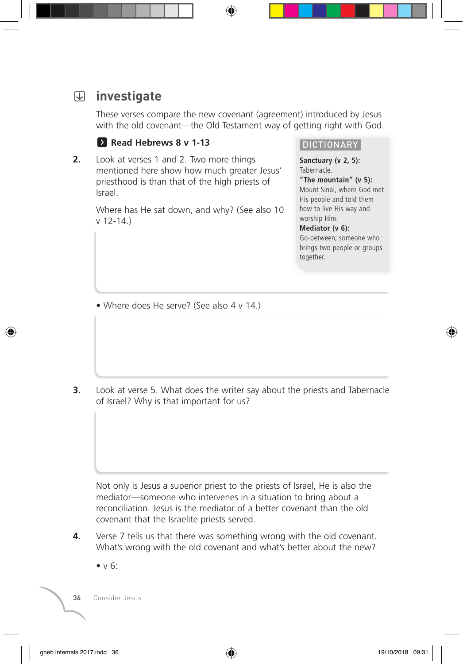# S **investigate**

 These verses compare the new covenant (agreement) introduced by Jesus with the old covenant—the Old Testament way of getting right with God.

#### **F** Read Hebrews 8 v 1-13

**2.** Look at verses 1 and 2. Two more things mentioned here show how much greater Jesus' priesthood is than that of the high priests of Israel.

> Where has He sat down, and why? (See also 10 v 12-14.)

#### DICTIONARY

**Sanctuary (v 2, 5):**  Tabernacle.

**"The mountain" (v 5):**  Mount Sinai, where God met His people and told them how to live His way and worship Him.

#### **Mediator (v 6):**

Go-between; someone who brings two people or groups together.

• Where does He serve? (See also 4 v 14.)

**3.** Look at verse 5. What does the writer say about the priests and Tabernacle of Israel? Why is that important for us?

 Not only is Jesus a superior priest to the priests of Israel, He is also the mediator—someone who intervenes in a situation to bring about a reconciliation. Jesus is the mediator of a better covenant than the old covenant that the Israelite priests served.

- **4.** Verse 7 tells us that there was something wrong with the old covenant. What's wrong with the old covenant and what's better about the new?
	- $\bullet v 6$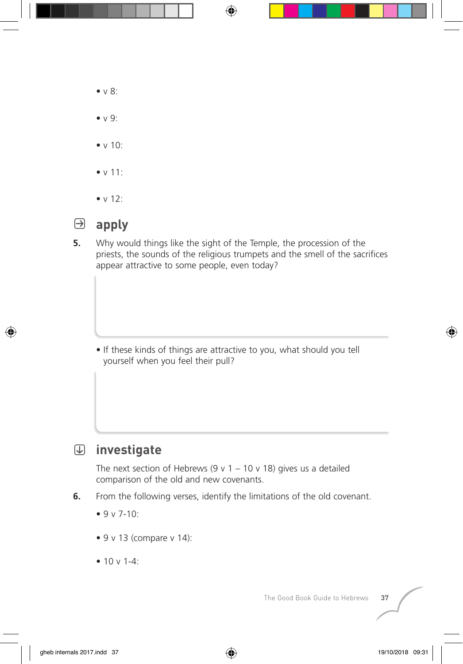- v 8:
- v 9:
- $\bullet$  v 10 $\cdot$
- v 11:
- v 12:



- P **apply**
- **5.** Why would things like the sight of the Temple, the procession of the priests, the sounds of the religious trumpets and the smell of the sacrifices appear attractive to some people, even today?

 • If these kinds of things are attractive to you, what should you tell yourself when you feel their pull?

S **investigate**

The next section of Hebrews (9 v 1 – 10 v 18) gives us a detailed comparison of the old and new covenants.

- **6.** From the following verses, identify the limitations of the old covenant.
	- $9 v 7-10$
	- $\bullet$  9 v 13 (compare v 14):
	- 10  $v$  1-4 $\cdot$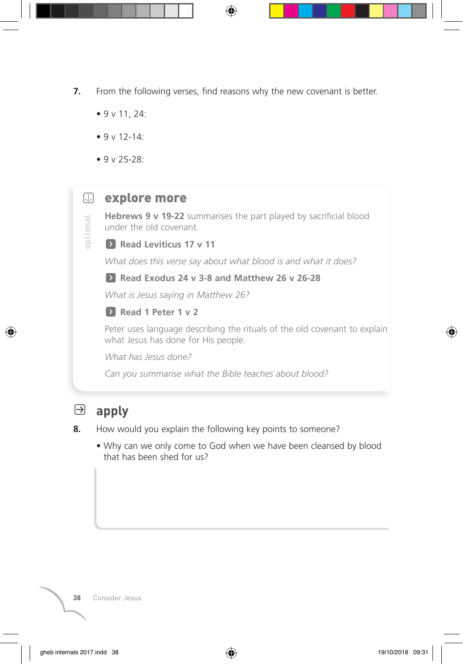- **7.** From the following verses, find reasons why the new covenant is better.
	- 9 v 11, 24:
	- 9 v 12-14:
	- 9 v 25-28:

optional

## **E** explore more

**Hebrews 9 v 19-22** summarises the part played by sacrificial blood under the old covenant.

#### **EX** Read Leviticus 17 v 11

 *What does this verse say about what blood is and what it does?*

**E** Read Exodus 24 v 3-8 and Matthew 26 v 26-28

 *What is Jesus saying in Matthew 26?*

**E** Read 1 Peter 1 v 2

 Peter uses language describing the rituals of the old covenant to explain what Jesus has done for His people.

 *What has Jesus done?*

*Can you summarise what the Bible teaches about blood?*

## P **apply**

#### **8.** How would you explain the following key points to someone?

 • Why can we only come to God when we have been cleansed by blood that has been shed for us?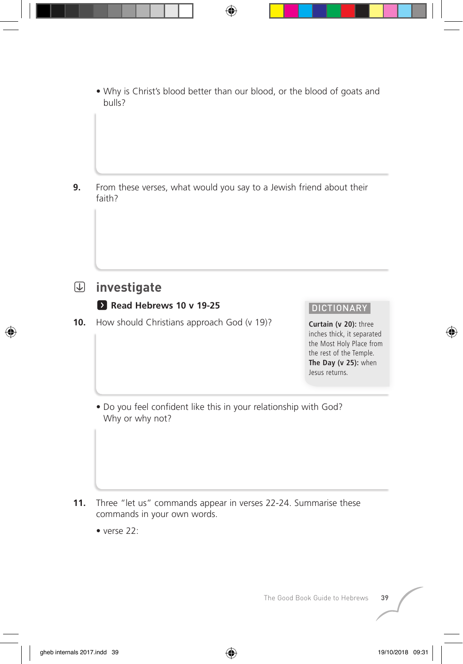• Why is Christ's blood better than our blood, or the blood of goats and bulls?

**9.** From these verses, what would you say to a Jewish friend about their faith?

## S **investigate**

### **EX Read Hebrews 10 v 19-25**

10. How should Christians approach God (v 19)?

#### DICTIONARY

**Curtain (v 20):** three inches thick, it separated the Most Holy Place from the rest of the Temple. **The Day (v 25):** when Jesus returns.

 • Do you feel confident like this in your relationship with God? Why or why not?

- **11.** Three "let us" commands appear in verses 22-24. Summarise these commands in your own words.
	- verse 22: